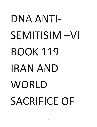## DNA ANTI-:10 3 JI:li<br>Ji:li - 10 Ji:li - 10 Ji:li - 10 Ji:li - 10 Ji:li - 10 Ji:li - 10 Ji:li - 10 Ji:li - 10 Ji:li - 10<br>Ji:li - 10 Ji:li - 10 Ji:li - 10 Ji:li - 10 Ji:li - 10 Ji:li - 10 Ji:li - 10 Ji:li - 10 Ji:li - 10 Ji:li - 10 and the contract of the contract of the contract of the contract of the contract of the contract of the contract of the contract of the contract of the contract of the contract of the contract of the contract of the contra **611** )1008  $1111$ -11NV VNa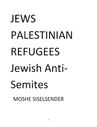## **JEWS** PALESTINIAN REFUGEES<br>Jewish Antis 339 n:<br>1390 n:<br>1390 n: NVINI1S31Vd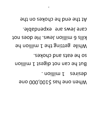9dt the end he chokes on the care Jews are expendable. kills 6 million Jews. He does not While getting the 1 million he so he eats and chokes. But he can not digest 1 million . noillim 1 eaniseb Myeu oue pas 2 T00'000's part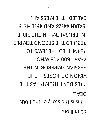**PERSIAN EMPEROR IN THE NISION OF KORESH THE** PRESIDENT TRUMP HAS THE IN THE BIBLE BIBLE BIBLE BETWEEN THE BIBLE BETWEEN THE BIBLE BETWEEN THE BIBLE BETWEEN THE BIBLE BETWEEN THE B<br>In the bible bible bible bible bible bible bible bible bible bible bible bible bible bible bible bible bible b This is the story of the IRAN CALLED THE MESSIAH.

**DERMILLED LHE TEMS LO PEAR 2600 BCE WHO** 

BROILD THE SECOND TEMPLE

 $SI$   $H$   $I$ :  $S$  $p$   $Q$   $N$  $A$   $S$  $S$ :  $P$  $P$   $H$  $R$  $I$  $R$  $S$  $I$ 

IN JEKOSALEM. IN THE BIBLE

**1 million.**<br>1 million.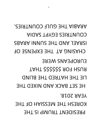- COUNTRIES ENTERTAINMENT SADIATION KORESH THE MESSIAH OF THE **PRESIDENT TRUMP IS THE**
- HE SET BACK AND NIXED THE
- **CIE LHE HATRED THE BLIND**
- ENROPEANS WERE **TAHT 225225 THAT**
- CHVSING AT THE EXPENSE OF
- COUNTRIES EGYPT SADIA RESET AND THE SUNNI ARABS

KORIA THE GULF COUNTRIES.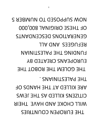WOM SUPPOSED TO NUMBER 5 OF THESE ORIGINAL 800,000 GENERATIONS DESCENDANTS THE PALEST PALEST PART OF PALEST PART OF PARTY AND THE PALEST PARTY OF PALEST PARTY OF PALEST PARTY OF PALEST EUROPEANS CREATED BY THE GOLEM THE ROBOT THE REFUGEES AND ALL AND ALL AND ALL AND ALL AND ALL AND ALL AND ALL AND ALL AND ALL AND ALL AND ALL AND ALL AND A<br>The contract of the contract of the contract of the contract of the contract of the contract of the contract of **GENERATIONS OF STATIONS OF** CILISENS KILLED AS THE JEWS MIFF CHOKE AND HVAE LHEIK<br>LHE ENKOPEN COUNTRIES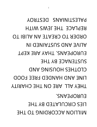PALESTINING DESTROY BEPLACE THE JEWS WITH ORDER TO CREATE AN ALIBI TO THEY ALL ARE ON THE CHARGE ON THE CHARGE ON THE CHARGE ON THE CHARGE ON THE CHARGE ON THE CHARITY OF THE CHARITY LINE AND HANDED FREE FOOD CLOTHES HOUSING AND  $\frac{1}{\sqrt{2}}$ EUROPEANS. THAT ARE KEPT A STRIP AND A STRIP AND A STRIP AND A STRIP AND A STRIP AND A STRIP AND A STRIP AND A LINE AND HANDED FREE FOOD<br>THEY ALL ARE ON THE CHARITY ORDER TO CREATE AND ALIGN REPLACE THE STRUCK WITH STRUCK WITH STRUCK **LIES CIRCULATED BY THE MILLION ACCORDING TO THE** 

 $\mathcal{L}_{\mathcal{L}}$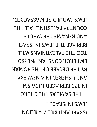JEMS MOULD BE MASSACKED. COUNTRY PALESTINE. ALL THE AND RENAME THE WHOLE IN 325 REPLACED JUDAISM TOO THE PALESTININ SUMILL EMPEROR CONSTANTINE ;SO BY THE DECREE OF THE ROMAN AND USHERED IN A NEW ERA **REPLACED JUDAISM** THE SAME AS THE CHURCH JEWS WOULD BE MASSACRED. **ISRAEL AND KILL 7 MILLION**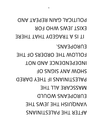ENROPEANS. **FOLLOW THE ORDERS OF THE** INDEPENDENCE AND NOT FOLSOM AND WORS PALESTINIANS IF THEY DARED IN ASSCARE ALL THE ENKOHEWAN MOULD **POLISH THE JEWS THE AFTER THE PALESTINIANS** 

POLITICAL GAIN REPEAT AND EXI2L JEM2 MHO LOK **TRAGEDY THAT THERE**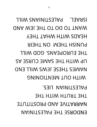INARRATIVITE AND MILL **THE TRUM WAND THE TEW MUD**  $\sqrt{2}$ **PUMISH THEM ON THEIR** THE EUROPEANS. GOD WILL UP WITH THE SAME CURSE AS UPUNES LHESE JEMS MILL END MILH ONL WENLIONING HEADS WITH WHAT THEY THE TRUTH WITH THE ISRAEL. PALESTINIANS WILL ENDORSE THE PALESTINIAN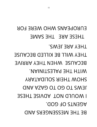THESE ARE THE SAME THEY ARE JEWS. **THEY WILL BE KILLED BECAUSE** BECAUSE WHEN THEY ARRIVE WILL BE BALEZININIYY **YAATAGIJOS RIEHT WOHS** THE SAME CUCCO CLUBS AND THE SAME THANKS I MOULD NOV TOVISE THESE **AGENTS OF GOD. BE THE MESSENGERS AND** 

## ENKOPEANS WHO WERE FOR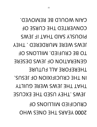CAIN WOULD BE REMOVED. **CONVERTED THE CURSE OF** JEWS .THEY USED THE EXCUSE  $\sim$ IN THE CHURCH CONTROL CONTROL THE STREET ALL FUTURE ALL FUTURE GENERATION OF JEWS DESERE TO BE CRUPPED OF THE CRUPPED OF THE CRUPPED OF THE CRUPPED OF THE CRUPPED OF THE CRUPPED OF THE CRUPPED OF THE JEWS WERE MUSIC WERE MUSIC. PIOUS SAID THAT IF SAID THAT IF SAID THAT IF JUNEAU AND IT SAID THAT IF JUNEAU AND IT SAID THAT IF JUNEAU AND <br>The said that is seen to say that is seen to be a second that is seen to be a second that is seen to be a secon CONVERTED THE CURSE OF CKNCILIED WILLIONS OF **2000 YEARS THE ONES WHO**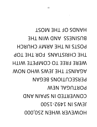**TROM THE MOST** BORINEZZ AND WIN THE POSTS IN THE ARMY CHURCH THE CHRISTIANS FOR THE TOP WERE FREE TO COMPETE WITH WON OHW SW3L 3HT TSMIADA PERSECUTIONS BEGAN BORTUGAL NEW CONVERTED IN SPAIN AND JEMS IN J 55-J 200 **HOMENEK MHEN S20'000** 

HOWEVER WHEN 250,000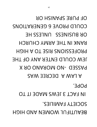COULD PROVE 6 GENERATIONS OK BNSINESS NETSS HE RANK IN THE ARMY CHURCH **PROFESSIONS RISE TO A HIGH** JEM COULD ENTER ANY OF THE **X AO ONAROM ON- GESSAY** PROFESSION RECREE MAS RANK IN THE ARMY CHURCH IN THE ARMY CHURCH IN THE ARMY CHURCH IN THE ARMY CHURCH IN THE ARMY CHURCH IN THE ARM **IN FACT 3 JEWS MADE IT TO** SOCIETY FAMILIES. BEAUTIFUL WOMEN AND HIGH

OF PURE SPANISH OR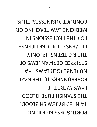COMDNCL BNSINESSES' LHNS MEDICINE FVM TEACHING OR **LOK LHE bKOLE22IONS IN** CILISENZ CONTD BE FICENZED THEIR CITIZENSHIP. ONLY STRIPPED GERMAN JEWS OF NURENGERGER LAWS THAT FORERUNNERS TO THE NAZI **FRANZ MERE THE** THE SPANISH PURE BLOOD TAINTED BY JEWISH BLOOD. PORTUGUESS BLOOD NOT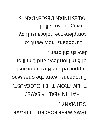JEMS MEKE LOKCED TO LEAVE

**GERMANY.** 

CHAT IN REALITY SAVED

THEM FROM THE HOLOCAUST.

Europeans were the ones who

subborted the Nazi holocaust

supported the dillier discussions of 6 noilling

 $E = \frac{1}{2}$ 

Europeans now want to

complete the holocaust II by

PALESTINIAN DESCENDANTS GERMANY.